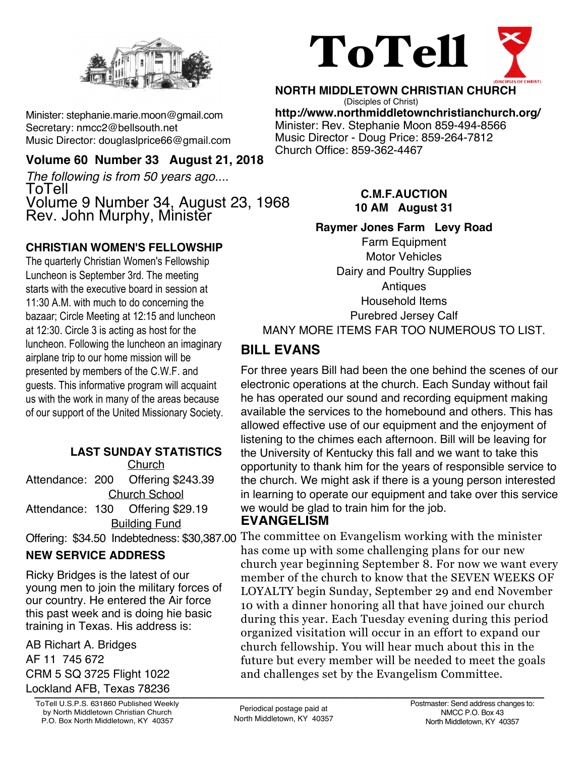

Minister: stephanie.marie.moon@gmail.com Secretary: nmcc2@bellsouth.net Music Director: douglaslprice66@gmail.com

#### **Volume 60 Number 33 August 21, 2018**

*The following is from 50 years ago....* ToTell Volume 9 Number 34, August 23, 1968 Rev. John Murphy, Minister

#### **CHRISTIAN WOMEN'S FELLOWSHIP**

The quarterly Christian Women's Fellowship Luncheon is September 3rd. The meeting starts with the executive board in session at 11:30 A.M. with much to do concerning the bazaar; Circle Meeting at 12:15 and luncheon at 12:30. Circle 3 is acting as host for the luncheon. Following the luncheon an imaginary airplane trip to our home mission will be presented by members of the C.W.F. and guests. This informative program will acquaint us with the work in many of the areas because of our support of the United Missionary Society.

#### **LAST SUNDAY STATISTICS**

**Church** Attendance: 200 Offering \$243.39 Church School Attendance: 130 Offering \$29.19 Building Fund

#### **NEW SERVICE ADDRESS**

Ricky Bridges is the latest of our young men to join the military forces of our country. He entered the Air force this past week and is doing hie basic training in Texas. His address is:

**\_\_\_\_\_\_\_\_\_\_\_\_\_\_\_\_\_\_\_\_\_\_\_\_\_\_\_\_\_\_\_\_\_\_\_\_\_\_\_\_\_\_\_\_\_\_\_\_\_\_\_\_\_\_\_\_\_\_\_\_\_\_\_\_\_\_\_\_\_\_\_\_\_\_\_\_\_\_\_\_** Lockland AFB, Texas 78236AB Richart A. Bridges AF 11 745 672 CRM 5 SQ 3725 Flight 1022

ToTell U.S.P.S. 631860 Published Weekly by North Middletown Christian Church P.O. Box North Middletown, KY 40357



**NORTH MIDDLETOWN CHRISTIAN CHURCH** (Disciples of Christ) **http://www.northmiddletownchristianchurch.org/** Minister: Rev. Stephanie Moon 859-494-8566 Music Director - Doug Price: 859-264-7812 Church Office: 859-362-4467

#### **C.M.F.AUCTION 10 AM August 31**

#### **Raymer Jones Farm Levy Road**

Farm Equipment Motor Vehicles Dairy and Poultry Supplies **Antiques** Household Items Purebred Jersey Calf MANY MORE ITEMS FAR TOO NUMEROUS TO LIST.

### **BILL EVANS**

For three years Bill had been the one behind the scenes of our electronic operations at the church. Each Sunday without fail he has operated our sound and recording equipment making available the services to the homebound and others. This has allowed effective use of our equipment and the enjoyment of listening to the chimes each afternoon. Bill will be leaving for the University of Kentucky this fall and we want to take this opportunity to thank him for the years of responsible service to the church. We might ask if there is a young person interested in learning to operate our equipment and take over this service we would be glad to train him for the job.

#### **EVANGELISM**

Offering: \$34.50 Indebtedness: \$30,387.00 The committee on Evangelism working with the minister has come up with some challenging plans for our new church year beginning September 8. For now we want every member of the church to know that the SEVEN WEEKS OF LOYALTY begin Sunday, September 29 and end November 10 with a dinner honoring all that have joined our church during this year. Each Tuesday evening during this period organized visitation will occur in an effort to expand our church fellowship. You will hear much about this in the future but every member will be needed to meet the goals and challenges set by the Evangelism Committee.